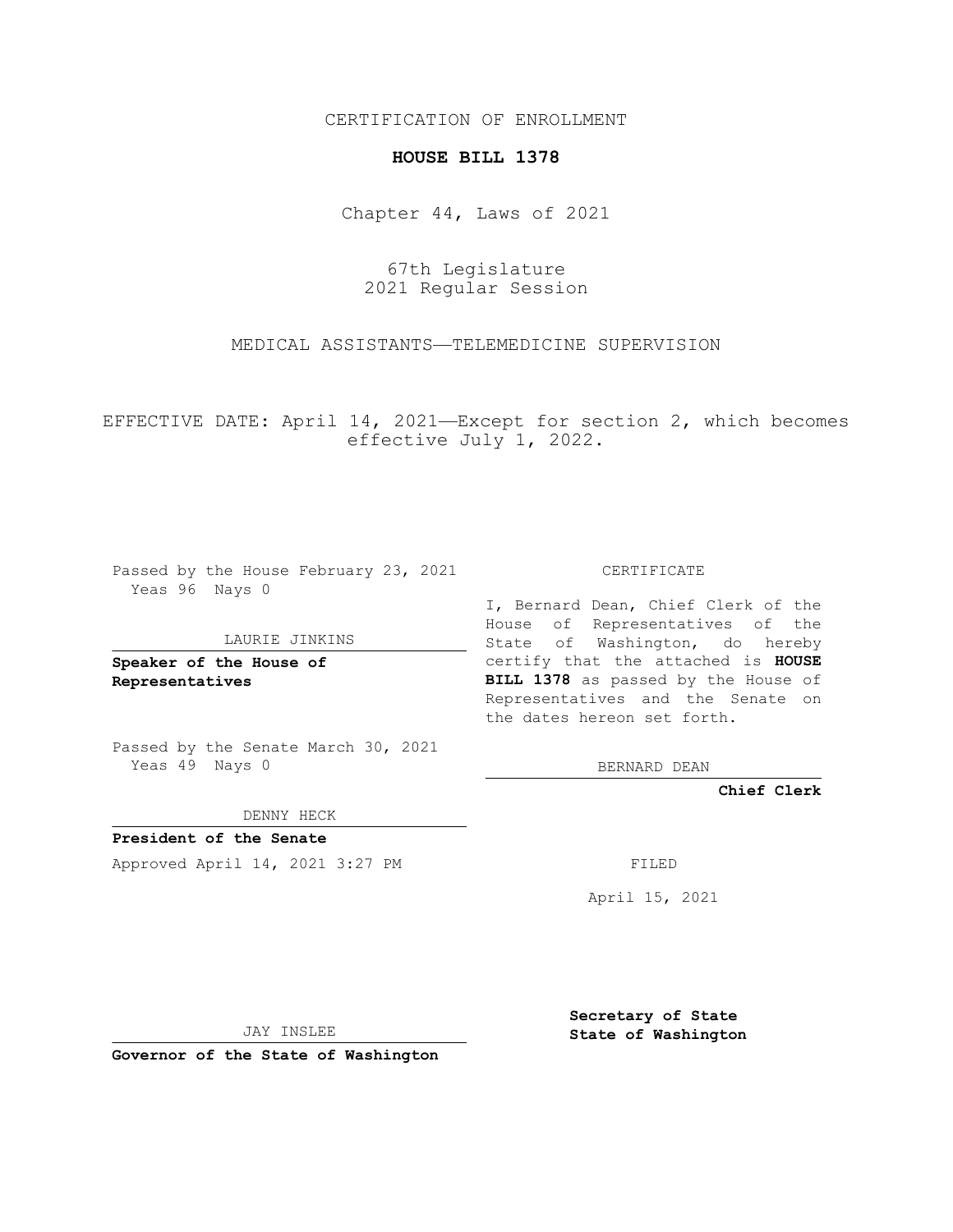## CERTIFICATION OF ENROLLMENT

## **HOUSE BILL 1378**

Chapter 44, Laws of 2021

67th Legislature 2021 Regular Session

MEDICAL ASSISTANTS—TELEMEDICINE SUPERVISION

EFFECTIVE DATE: April 14, 2021—Except for section 2, which becomes effective July 1, 2022.

Passed by the House February 23, 2021 Yeas 96 Nays 0

## LAURIE JINKINS

**Speaker of the House of Representatives**

Passed by the Senate March 30, 2021 Yeas 49 Nays 0

DENNY HECK

**President of the Senate** Approved April 14, 2021 3:27 PM FILED

CERTIFICATE

I, Bernard Dean, Chief Clerk of the House of Representatives of the State of Washington, do hereby certify that the attached is **HOUSE BILL 1378** as passed by the House of Representatives and the Senate on the dates hereon set forth.

BERNARD DEAN

**Chief Clerk**

April 15, 2021

JAY INSLEE

**Governor of the State of Washington**

**Secretary of State State of Washington**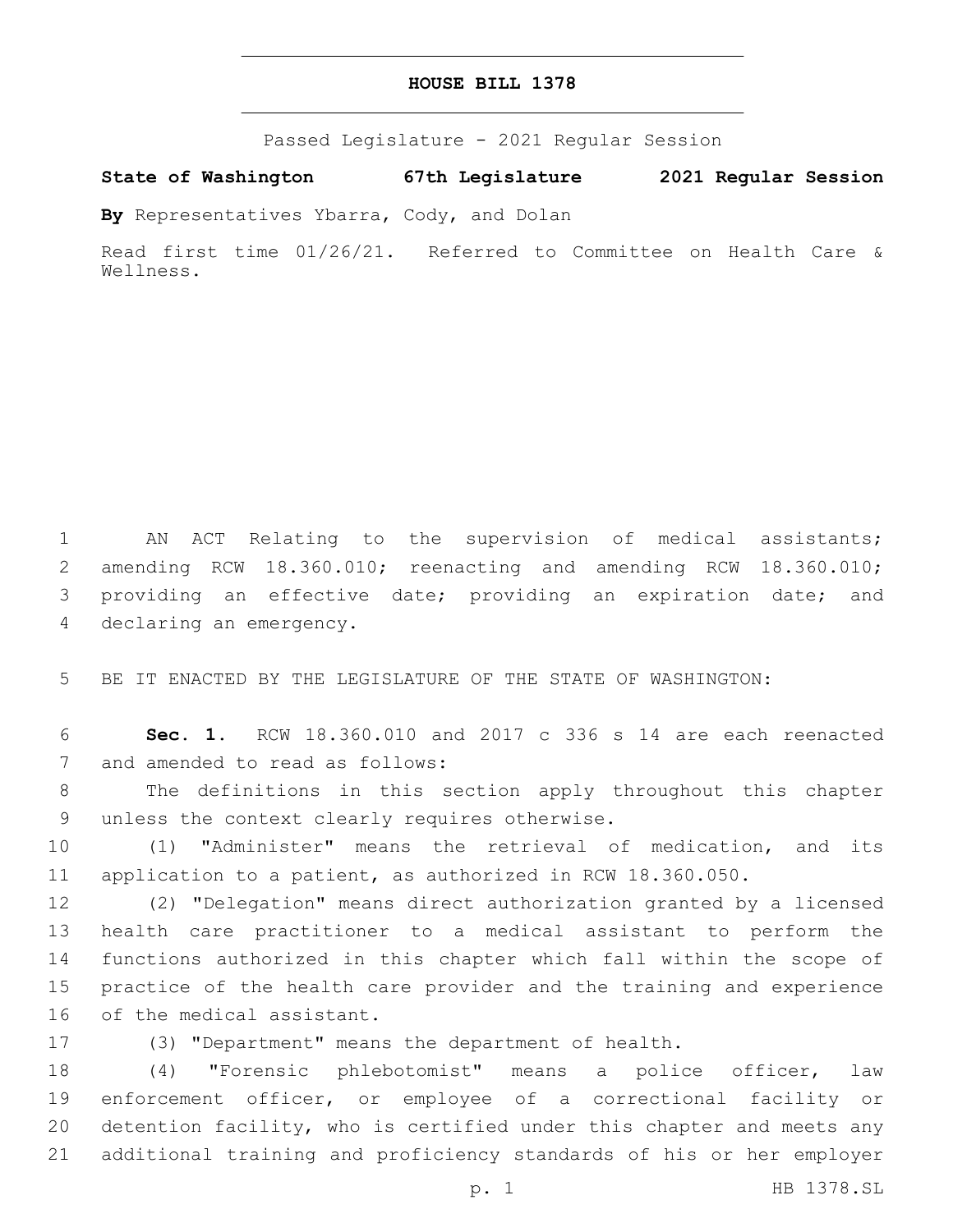| HOUSE BILL 1378 |  |  |  |
|-----------------|--|--|--|
|-----------------|--|--|--|

Passed Legislature - 2021 Regular Session

**State of Washington 67th Legislature 2021 Regular Session**

**By** Representatives Ybarra, Cody, and Dolan

Read first time 01/26/21. Referred to Committee on Health Care & Wellness.

 AN ACT Relating to the supervision of medical assistants; amending RCW 18.360.010; reenacting and amending RCW 18.360.010; providing an effective date; providing an expiration date; and 4 declaring an emergency.

BE IT ENACTED BY THE LEGISLATURE OF THE STATE OF WASHINGTON:

 **Sec. 1.** RCW 18.360.010 and 2017 c 336 s 14 are each reenacted 7 and amended to read as follows:

 The definitions in this section apply throughout this chapter 9 unless the context clearly requires otherwise.

 (1) "Administer" means the retrieval of medication, and its application to a patient, as authorized in RCW 18.360.050.

 (2) "Delegation" means direct authorization granted by a licensed health care practitioner to a medical assistant to perform the functions authorized in this chapter which fall within the scope of practice of the health care provider and the training and experience 16 of the medical assistant.

(3) "Department" means the department of health.

 (4) "Forensic phlebotomist" means a police officer, law enforcement officer, or employee of a correctional facility or detention facility, who is certified under this chapter and meets any additional training and proficiency standards of his or her employer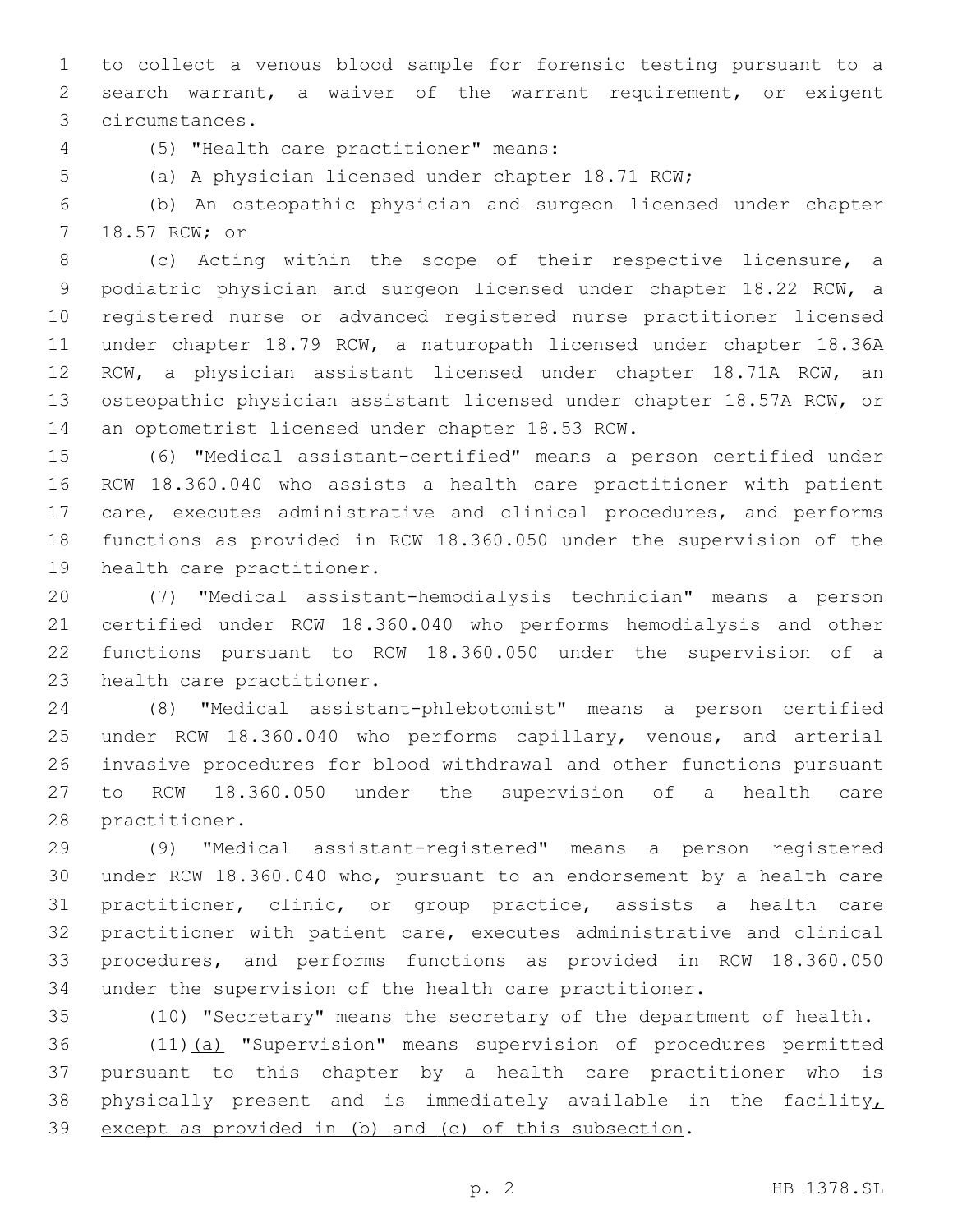to collect a venous blood sample for forensic testing pursuant to a search warrant, a waiver of the warrant requirement, or exigent circumstances.3

(5) "Health care practitioner" means:4

(a) A physician licensed under chapter 18.71 RCW;

 (b) An osteopathic physician and surgeon licensed under chapter 7 18.57 RCW; or

 (c) Acting within the scope of their respective licensure, a podiatric physician and surgeon licensed under chapter 18.22 RCW, a registered nurse or advanced registered nurse practitioner licensed under chapter 18.79 RCW, a naturopath licensed under chapter 18.36A RCW, a physician assistant licensed under chapter 18.71A RCW, an osteopathic physician assistant licensed under chapter 18.57A RCW, or 14 an optometrist licensed under chapter 18.53 RCW.

 (6) "Medical assistant-certified" means a person certified under RCW 18.360.040 who assists a health care practitioner with patient care, executes administrative and clinical procedures, and performs functions as provided in RCW 18.360.050 under the supervision of the 19 health care practitioner.

 (7) "Medical assistant-hemodialysis technician" means a person certified under RCW 18.360.040 who performs hemodialysis and other functions pursuant to RCW 18.360.050 under the supervision of a 23 health care practitioner.

 (8) "Medical assistant-phlebotomist" means a person certified under RCW 18.360.040 who performs capillary, venous, and arterial invasive procedures for blood withdrawal and other functions pursuant to RCW 18.360.050 under the supervision of a health care 28 practitioner.

 (9) "Medical assistant-registered" means a person registered under RCW 18.360.040 who, pursuant to an endorsement by a health care practitioner, clinic, or group practice, assists a health care practitioner with patient care, executes administrative and clinical procedures, and performs functions as provided in RCW 18.360.050 under the supervision of the health care practitioner.

(10) "Secretary" means the secretary of the department of health.

36 (11)(a) "Supervision" means supervision of procedures permitted pursuant to this chapter by a health care practitioner who is 38 physically present and is immediately available in the facility, except as provided in (b) and (c) of this subsection.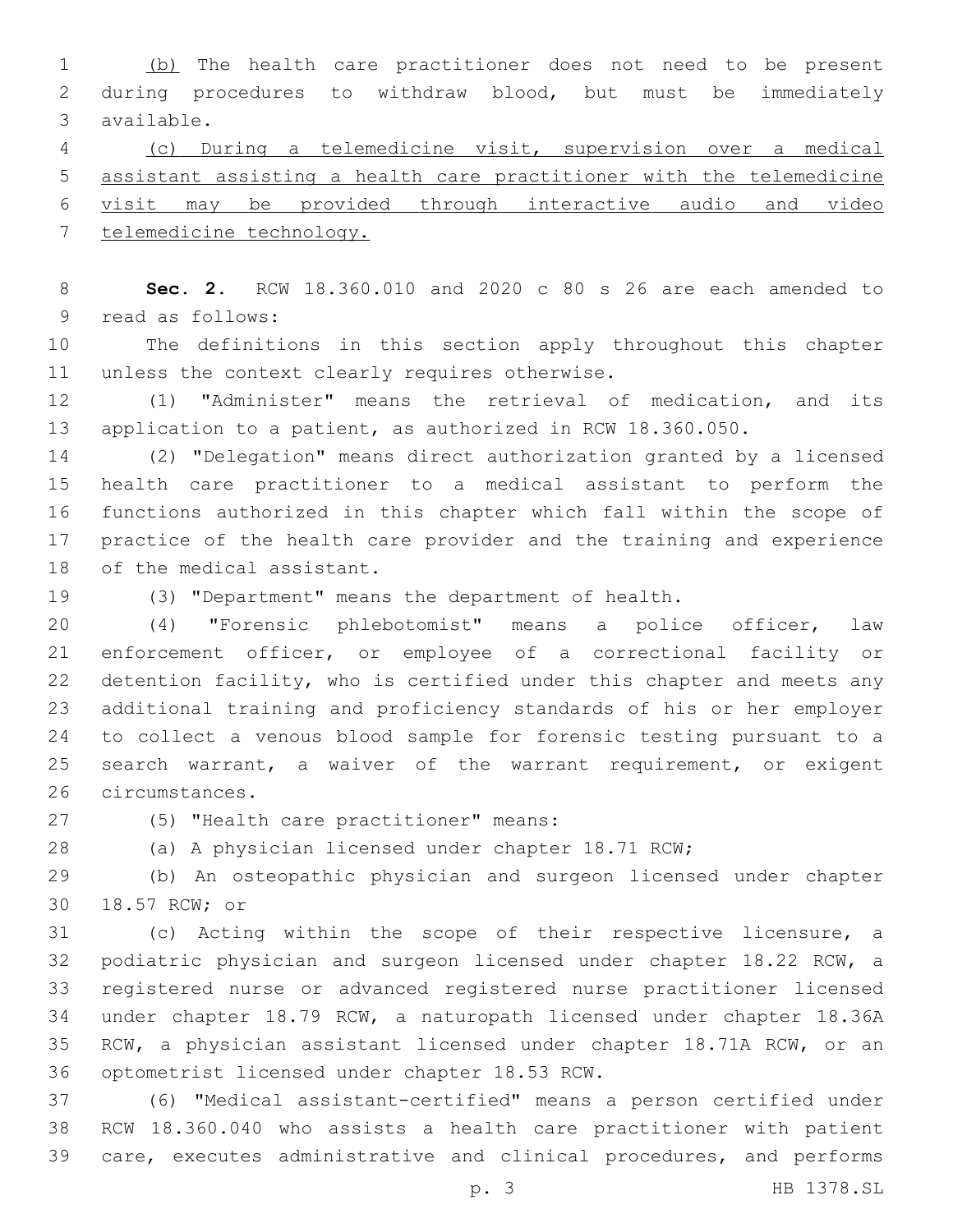1 (b) The health care practitioner does not need to be present during procedures to withdraw blood, but must be immediately available.3

 (c) During a telemedicine visit, supervision over a medical assistant assisting a health care practitioner with the telemedicine visit may be provided through interactive audio and video telemedicine technology.

 **Sec. 2.** RCW 18.360.010 and 2020 c 80 s 26 are each amended to 9 read as follows:

 The definitions in this section apply throughout this chapter 11 unless the context clearly requires otherwise.

 (1) "Administer" means the retrieval of medication, and its application to a patient, as authorized in RCW 18.360.050.

 (2) "Delegation" means direct authorization granted by a licensed health care practitioner to a medical assistant to perform the functions authorized in this chapter which fall within the scope of practice of the health care provider and the training and experience 18 of the medical assistant.

(3) "Department" means the department of health.

 (4) "Forensic phlebotomist" means a police officer, law enforcement officer, or employee of a correctional facility or detention facility, who is certified under this chapter and meets any additional training and proficiency standards of his or her employer to collect a venous blood sample for forensic testing pursuant to a search warrant, a waiver of the warrant requirement, or exigent 26 circumstances.

(5) "Health care practitioner" means:27

(a) A physician licensed under chapter 18.71 RCW;

 (b) An osteopathic physician and surgeon licensed under chapter 30 18.57 RCW; or

 (c) Acting within the scope of their respective licensure, a podiatric physician and surgeon licensed under chapter 18.22 RCW, a registered nurse or advanced registered nurse practitioner licensed under chapter 18.79 RCW, a naturopath licensed under chapter 18.36A RCW, a physician assistant licensed under chapter 18.71A RCW, or an 36 optometrist licensed under chapter 18.53 RCW.

 (6) "Medical assistant-certified" means a person certified under RCW 18.360.040 who assists a health care practitioner with patient care, executes administrative and clinical procedures, and performs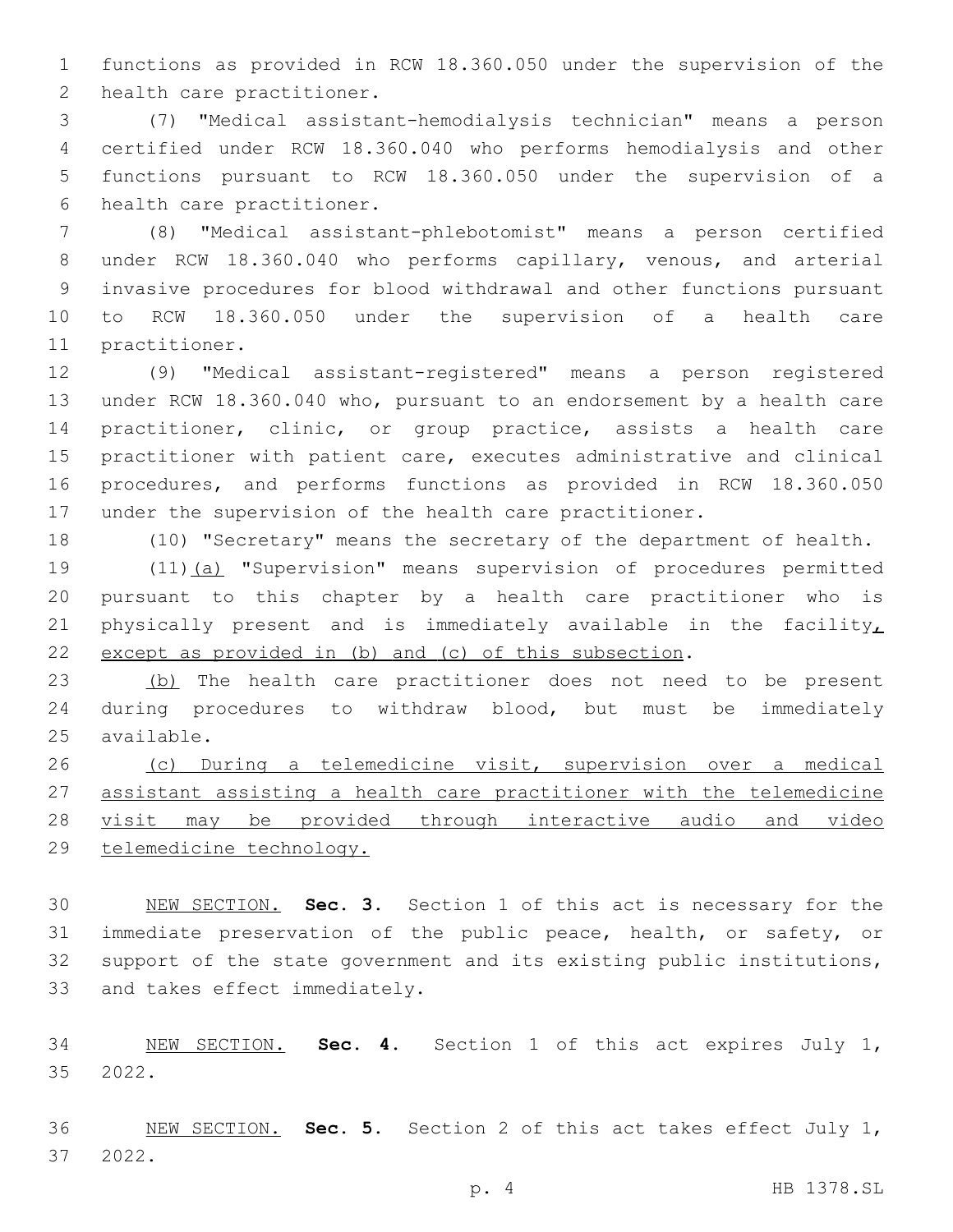functions as provided in RCW 18.360.050 under the supervision of the 2 health care practitioner.

 (7) "Medical assistant-hemodialysis technician" means a person certified under RCW 18.360.040 who performs hemodialysis and other functions pursuant to RCW 18.360.050 under the supervision of a 6 health care practitioner.

 (8) "Medical assistant-phlebotomist" means a person certified under RCW 18.360.040 who performs capillary, venous, and arterial invasive procedures for blood withdrawal and other functions pursuant to RCW 18.360.050 under the supervision of a health care 11 practitioner.

 (9) "Medical assistant-registered" means a person registered under RCW 18.360.040 who, pursuant to an endorsement by a health care practitioner, clinic, or group practice, assists a health care practitioner with patient care, executes administrative and clinical procedures, and performs functions as provided in RCW 18.360.050 under the supervision of the health care practitioner.

(10) "Secretary" means the secretary of the department of health.

 (11)(a) "Supervision" means supervision of procedures permitted pursuant to this chapter by a health care practitioner who is 21 physically present and is immediately available in the facility, except as provided in (b) and (c) of this subsection.

23 (b) The health care practitioner does not need to be present during procedures to withdraw blood, but must be immediately 25 available.

 (c) During a telemedicine visit, supervision over a medical assistant assisting a health care practitioner with the telemedicine visit may be provided through interactive audio and video telemedicine technology.

 NEW SECTION. **Sec. 3.** Section 1 of this act is necessary for the immediate preservation of the public peace, health, or safety, or support of the state government and its existing public institutions, and takes effect immediately.

 NEW SECTION. **Sec. 4.** Section 1 of this act expires July 1, 2022.

 NEW SECTION. **Sec. 5.** Section 2 of this act takes effect July 1, 2022.